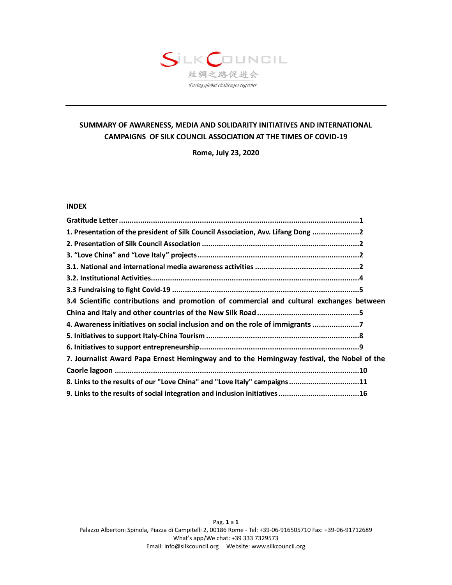# SILKCOUNGIL 丝绸之路促进会 Facing global challenges together

# **SUMMARY OF AWARENESS, MEDIA AND SOLIDARITY INITIATIVES AND INTERNATIONAL CAMPAIGNS OF SILK COUNCIL ASSOCIATION AT THE TIMES OF COVID-19**

**Rome, July 23, 2020**

#### **INDEX**

| 1. Presentation of the president of Silk Council Association, Avv. Lifang Dong 2          |  |
|-------------------------------------------------------------------------------------------|--|
|                                                                                           |  |
|                                                                                           |  |
|                                                                                           |  |
|                                                                                           |  |
|                                                                                           |  |
| 3.4 Scientific contributions and promotion of commercial and cultural exchanges between   |  |
|                                                                                           |  |
| 4. Awareness initiatives on social inclusion and on the role of immigrants 7              |  |
|                                                                                           |  |
|                                                                                           |  |
| 7. Journalist Award Papa Ernest Hemingway and to the Hemingway festival, the Nobel of the |  |
|                                                                                           |  |
| 8. Links to the results of our "Love China" and "Love Italy" campaigns11                  |  |
| 9. Links to the results of social integration and inclusion initiatives 16                |  |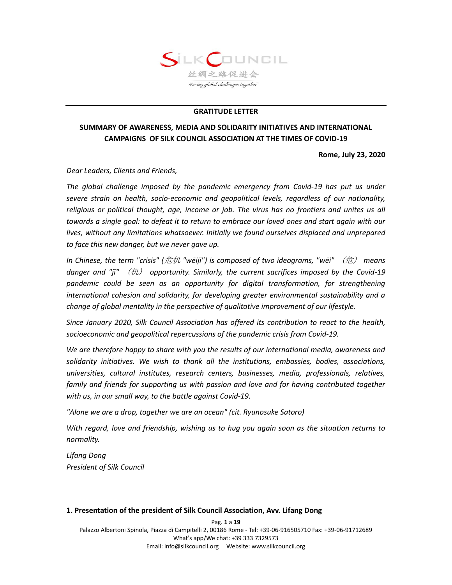

#### **GRATITUDE LETTER**

# **SUMMARY OF AWARENESS, MEDIA AND SOLIDARITY INITIATIVES AND INTERNATIONAL CAMPAIGNS OF SILK COUNCIL ASSOCIATION AT THE TIMES OF COVID-19**

**Rome, July 23, 2020**

*Dear Leaders, Clients and Friends,*

The global challenge imposed by the pandemic emergency from Covid-19 has put us under *severe strain on health, socio-economic and geopolitical levels, regardless of our nationality, religious or political thought, age, income or job. The virus has no frontiers and unites us all towards a single goal: to defeat it to return to embrace our loved ones and start again with our lives, without any limitations whatsoever. Initially we found ourselves displaced and unprepared to face this new danger, but we never gave up.*

*In Chinese, the term "crisis" (*危机 *"wēijī") is composed of two ideograms, "wēi"* (危) *means danger and "jī"* (机) *opportunity. Similarly, the current sacrifices imposed by the Covid-19 pandemic could be seen as an opportunity for digital transformation, for strengthening international cohesion and solidarity, for developing greater environmental sustainability and a change of global mentality in the perspective of qualitative improvement of our lifestyle.*

*Since January 2020, Silk Council Association has offered its contribution to react to the health, socioeconomic and geopolitical repercussions of the pandemic crisis from Covid-19.* 

*We are therefore happy to share with you the results of our international media, awareness and solidarity initiatives. We wish to thank all the institutions, embassies, bodies, associations, universities, cultural institutes, research centers, businesses, media, professionals, relatives, family and friends for supporting us with passion and love and for having contributed together with us, in our small way, to the battle against Covid-19.*

*"Alone we are a drop, together we are an ocean" (cit. Ryunosuke Satoro)*

*With regard, love and friendship, wishing us to hug you again soon as the situation returns to normality.*

*Lifang Dong President of Silk Council*

#### **1. Presentation of the president of Silk Council Association, Avv. Lifang Dong**

Pag. **1** a **19** Palazzo Albertoni Spinola, Piazza di Campitelli 2, 00186 Rome - Tel: +39-06-916505710 Fax: +39-06-91712689 What's app/We chat: +39 333 7329573 Email: info@silkcouncil.org Website: www.silkcouncil.org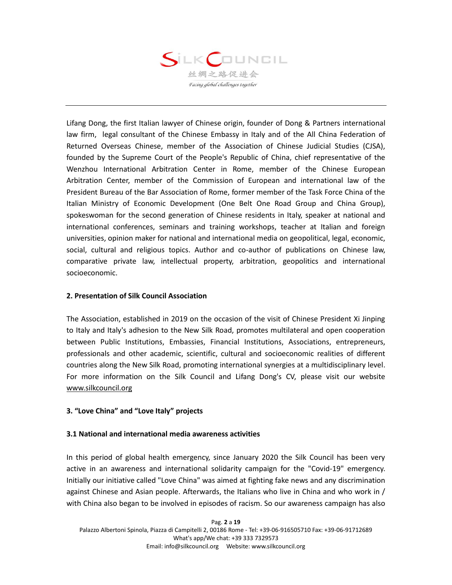

Lifang Dong, the first Italian lawyer of Chinese origin, founder of Dong & Partners international law firm, legal consultant of the Chinese Embassy in Italy and of the All China Federation of Returned Overseas Chinese, member of the Association of Chinese Judicial Studies (CJSA), founded by the Supreme Court of the People's Republic of China, chief representative of the Wenzhou International Arbitration Center in Rome, member of the Chinese European Arbitration Center, member of the Commission of European and international law of the President Bureau of the Bar Association of Rome, former member of the Task Force China of the Italian Ministry of Economic Development (One Belt One Road Group and China Group), spokeswoman for the second generation of Chinese residents in Italy, speaker at national and international conferences, seminars and training workshops, teacher at Italian and foreign universities, opinion maker for national and international media on geopolitical, legal, economic, social, cultural and religious topics. Author and co-author of publications on Chinese law, comparative private law, intellectual property, arbitration, geopolitics and international socioeconomic.

## **2. Presentation of Silk Council Association**

The Association, established in 2019 on the occasion of the visit of Chinese President Xi Jinping to Italy and Italy's adhesion to the New Silk Road, promotes multilateral and open cooperation between Public Institutions, Embassies, Financial Institutions, Associations, entrepreneurs, professionals and other academic, scientific, cultural and socioeconomic realities of different countries along the New Silk Road, promoting international synergies at a multidisciplinary level. For more information on the Silk Council and Lifang Dong's CV, please visit our website [www.silkcouncil.org](http://www.silkcouncil.org/)

## **3. "Love China" and "Love Italy" projects**

#### **3.1 National and international media awareness activities**

In this period of global health emergency, since January 2020 the Silk Council has been very active in an awareness and international solidarity campaign for the "Covid-19" emergency. Initially our initiative called "Love China" was aimed at fighting fake news and any discrimination against Chinese and Asian people. Afterwards, the Italians who live in China and who work in / with China also began to be involved in episodes of racism. So our awareness campaign has also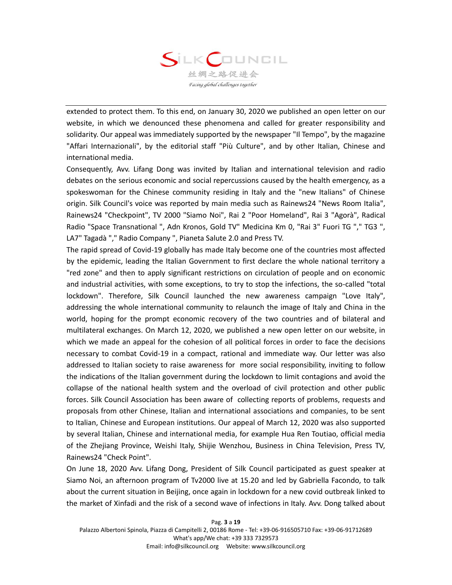

extended to protect them. To this end, on January 30, 2020 we published an open letter on our website, in which we denounced these phenomena and called for greater responsibility and solidarity. Our appeal was immediately supported by the newspaper "Il Tempo", by the magazine "Affari Internazionali", by the editorial staff "Più Culture", and by other Italian, Chinese and international media.

Consequently, Avv. Lifang Dong was invited by Italian and international television and radio debates on the serious economic and social repercussions caused by the health emergency, as a spokeswoman for the Chinese community residing in Italy and the "new Italians" of Chinese origin. Silk Council's voice was reported by main media such as Rainews24 "News Room Italia", Rainews24 "Checkpoint", TV 2000 "Siamo Noi", Rai 2 "Poor Homeland", Rai 3 "Agorà", Radical Radio "Space Transnational ", Adn Kronos, Gold TV" Medicina Km 0, "Rai 3" Fuori TG "," TG3 ", LA7" Tagadà "," Radio Company ", Pianeta Salute 2.0 and Press TV.

The rapid spread of Covid-19 globally has made Italy become one of the countries most affected by the epidemic, leading the Italian Government to first declare the whole national territory a "red zone" and then to apply significant restrictions on circulation of people and on economic and industrial activities, with some exceptions, to try to stop the infections, the so-called "total lockdown". Therefore, Silk Council launched the new awareness campaign "Love Italy", addressing the whole international community to relaunch the image of Italy and China in the world, hoping for the prompt economic recovery of the two countries and of bilateral and multilateral exchanges. On March 12, 2020, we published a new open letter on our website, in which we made an appeal for the cohesion of all political forces in order to face the decisions necessary to combat Covid-19 in a compact, rational and immediate way. Our letter was also addressed to Italian society to raise awareness for more social responsibility, inviting to follow the indications of the Italian government during the lockdown to limit contagions and avoid the collapse of the national health system and the overload of civil protection and other public forces. Silk Council Association has been aware of collecting reports of problems, requests and proposals from other Chinese, Italian and international associations and companies, to be sent to Italian, Chinese and European institutions. Our appeal of March 12, 2020 was also supported by several Italian, Chinese and international media, for example Hua Ren Toutiao, official media of the Zhejiang Province, Weishi Italy, Shijie Wenzhou, Business in China Television, Press TV, Rainews24 "Check Point".

On June 18, 2020 Avv. Lifang Dong, President of Silk Council participated as guest speaker at Siamo Noi, an afternoon program of Tv2000 live at 15.20 and led by Gabriella Facondo, to talk about the current situation in Beijing, once again in lockdown for a new covid outbreak linked to the market of Xinfadi and the risk of a second wave of infections in Italy. Avv. Dong talked about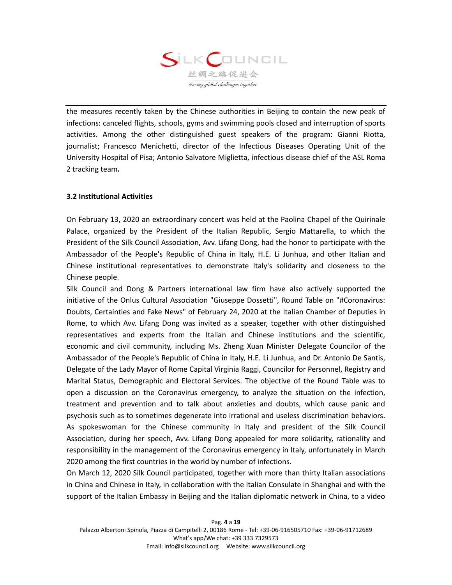

the measures recently taken by the Chinese authorities in Beijing to contain the new peak of infections: canceled flights, schools, gyms and swimming pools closed and interruption of sports activities. Among the other distinguished guest speakers of the program: Gianni Riotta, journalist; Francesco Menichetti, director of the Infectious Diseases Operating Unit of the University Hospital of Pisa; Antonio Salvatore Miglietta, infectious disease chief of the ASL Roma 2 tracking team**.**

## **3.2 Institutional Activities**

On February 13, 2020 an extraordinary concert was held at the Paolina Chapel of the Quirinale Palace, organized by the President of the Italian Republic, Sergio Mattarella, to which the President of the Silk Council Association, Avv. Lifang Dong, had the honor to participate with the Ambassador of the People's Republic of China in Italy, H.E. Li Junhua, and other Italian and Chinese institutional representatives to demonstrate Italy's solidarity and closeness to the Chinese people.

Silk Council and Dong & Partners international law firm have also actively supported the initiative of the Onlus Cultural Association "Giuseppe Dossetti", Round Table on "#Coronavirus: Doubts, Certainties and Fake News" of February 24, 2020 at the Italian Chamber of Deputies in Rome, to which Avv. Lifang Dong was invited as a speaker, together with other distinguished representatives and experts from the Italian and Chinese institutions and the scientific, economic and civil community, including Ms. Zheng Xuan Minister Delegate Councilor of the Ambassador of the People's Republic of China in Italy, H.E. Li Junhua, and Dr. Antonio De Santis, Delegate of the Lady Mayor of Rome Capital Virginia Raggi, Councilor for Personnel, Registry and Marital Status, Demographic and Electoral Services. The objective of the Round Table was to open a discussion on the Coronavirus emergency, to analyze the situation on the infection, treatment and prevention and to talk about anxieties and doubts, which cause panic and psychosis such as to sometimes degenerate into irrational and useless discrimination behaviors. As spokeswoman for the Chinese community in Italy and president of the Silk Council Association, during her speech, Avv. Lifang Dong appealed for more solidarity, rationality and responsibility in the management of the Coronavirus emergency in Italy, unfortunately in March 2020 among the first countries in the world by number of infections.

On March 12, 2020 Silk Council participated, together with more than thirty Italian associations in China and Chinese in Italy, in collaboration with the Italian Consulate in Shanghai and with the support of the Italian Embassy in Beijing and the Italian diplomatic network in China, to a video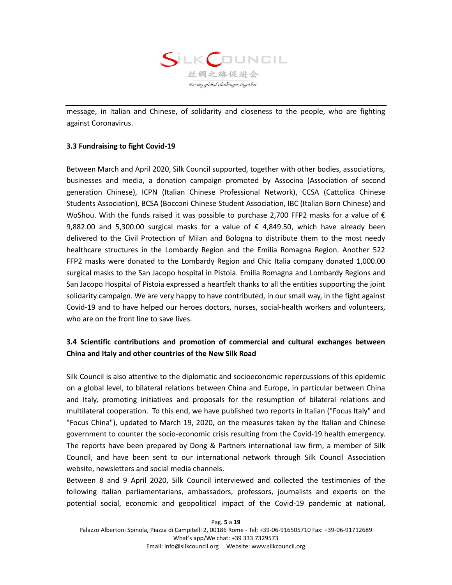

message, in Italian and Chinese, of solidarity and closeness to the people, who are fighting against Coronavirus.

## **3.3 Fundraising to fight Covid-19**

Between March and April 2020, Silk Council supported, together with other bodies, associations, businesses and media, a donation campaign promoted by Associna (Association of second generation Chinese), ICPN (Italian Chinese Professional Network), CCSA (Cattolica Chinese Students Association), BCSA (Bocconi Chinese Student Association, IBC (Italian Born Chinese) and WoShou. With the funds raised it was possible to purchase 2,700 FFP2 masks for a value of € 9,882.00 and 5,300.00 surgical masks for a value of  $€$  4,849.50, which have already been delivered to the Civil Protection of Milan and Bologna to distribute them to the most needy healthcare structures in the Lombardy Region and the Emilia Romagna Region. Another 522 FFP2 masks were donated to the Lombardy Region and Chic Italia company donated 1,000.00 surgical masks to the San Jacopo hospital in Pistoia. Emilia Romagna and Lombardy Regions and San Jacopo Hospital of Pistoia expressed a heartfelt thanks to all the entities supporting the joint solidarity campaign. We are very happy to have contributed, in our small way, in the fight against Covid-19 and to have helped our heroes doctors, nurses, social-health workers and volunteers, who are on the front line to save lives.

# **3.4 Scientific contributions and promotion of commercial and cultural exchanges between China and Italy and other countries of the New Silk Road**

Silk Council is also attentive to the diplomatic and socioeconomic repercussions of this epidemic on a global level, to bilateral relations between China and Europe, in particular between China and Italy, promoting initiatives and proposals for the resumption of bilateral relations and multilateral cooperation. To this end, we have published two reports in Italian ("Focus Italy" and "Focus China"), updated to March 19, 2020, on the measures taken by the Italian and Chinese government to counter the socio-economic crisis resulting from the Covid-19 health emergency. The reports have been prepared by Dong & Partners international law firm, a member of Silk Council, and have been sent to our international network through Silk Council Association website, newsletters and social media channels.

Between 8 and 9 April 2020, Silk Council interviewed and collected the testimonies of the following Italian parliamentarians, ambassadors, professors, journalists and experts on the potential social, economic and geopolitical impact of the Covid-19 pandemic at national,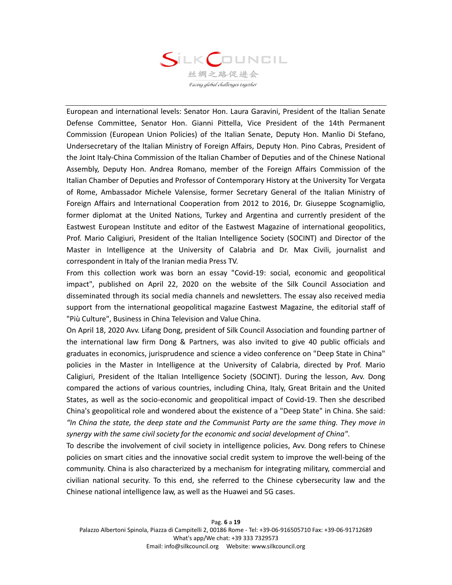

European and international levels: Senator Hon. Laura Garavini, President of the Italian Senate Defense Committee, Senator Hon. Gianni Pittella, Vice President of the 14th Permanent Commission (European Union Policies) of the Italian Senate, Deputy Hon. Manlio Di Stefano, Undersecretary of the Italian Ministry of Foreign Affairs, Deputy Hon. Pino Cabras, President of the Joint Italy-China Commission of the Italian Chamber of Deputies and of the Chinese National Assembly, Deputy Hon. Andrea Romano, member of the Foreign Affairs Commission of the Italian Chamber of Deputies and Professor of Contemporary History at the University Tor Vergata of Rome, Ambassador Michele Valensise, former Secretary General of the Italian Ministry of Foreign Affairs and International Cooperation from 2012 to 2016, Dr. Giuseppe Scognamiglio, former diplomat at the United Nations, Turkey and Argentina and currently president of the Eastwest European Institute and editor of the Eastwest Magazine of international geopolitics, Prof. Mario Caligiuri, President of the Italian Intelligence Society (SOCINT) and Director of the Master in Intelligence at the University of Calabria and Dr. Max Civili, journalist and correspondent in Italy of the Iranian media Press TV.

From this collection work was born an essay "Covid-19: social, economic and geopolitical impact", published on April 22, 2020 on the website of the Silk Council Association and disseminated through its social media channels and newsletters. The essay also received media support from the international geopolitical magazine Eastwest Magazine, the editorial staff of "Più Culture", Business in China Television and Value China.

On April 18, 2020 Avv. Lifang Dong, president of Silk Council Association and founding partner of the international law firm Dong & Partners, was also invited to give 40 public officials and graduates in economics, jurisprudence and science a video conference on "Deep State in China" policies in the Master in Intelligence at the University of Calabria, directed by Prof. Mario Caligiuri, President of the Italian Intelligence Society (SOCINT). During the lesson, Avv. Dong compared the actions of various countries, including China, Italy, Great Britain and the United States, as well as the socio-economic and geopolitical impact of Covid-19. Then she described China's geopolitical role and wondered about the existence of a "Deep State" in China. She said: *"In China the state, the deep state and the Communist Party are the same thing. They move in synergy with the same civil society for the economic and social development of China"*.

To describe the involvement of civil society in intelligence policies, Avv. Dong refers to Chinese policies on smart cities and the innovative social credit system to improve the well-being of the community. China is also characterized by a mechanism for integrating military, commercial and civilian national security. To this end, she referred to the Chinese cybersecurity law and the Chinese national intelligence law, as well as the Huawei and 5G cases.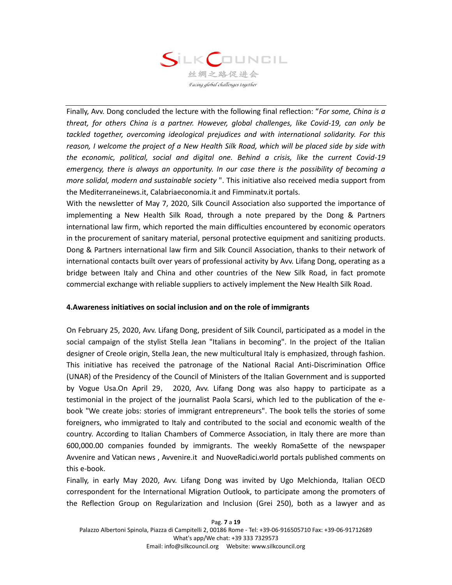

Finally, Avv. Dong concluded the lecture with the following final reflection: "*For some, China is a threat, for others China is a partner. However, global challenges, like Covid-19, can only be tackled together, overcoming ideological prejudices and with international solidarity. For this reason, I welcome the project of a New Health Silk Road, which will be placed side by side with the economic, political, social and digital one. Behind a crisis, like the current Covid-19 emergency, there is always an opportunity. In our case there is the possibility of becoming a more solidal, modern and sustainable society* ". This initiative also received media support from the Mediterraneinews.it, Calabriaeconomia.it and Fimminatv.it portals.

With the newsletter of May 7, 2020, Silk Council Association also supported the importance of implementing a New Health Silk Road, through a note prepared by the Dong & Partners international law firm, which reported the main difficulties encountered by economic operators in the procurement of sanitary material, personal protective equipment and sanitizing products. Dong & Partners international law firm and Silk Council Association, thanks to their network of international contacts built over years of professional activity by Avv. Lifang Dong, operating as a bridge between Italy and China and other countries of the New Silk Road, in fact promote commercial exchange with reliable suppliers to actively implement the New Health Silk Road.

#### **4.Awareness initiatives on social inclusion and on the role of immigrants**

On February 25, 2020, Avv. Lifang Dong, president of Silk Council, participated as a model in the social campaign of the stylist Stella Jean "Italians in becoming". In the project of the Italian designer of Creole origin, Stella Jean, the new multicultural Italy is emphasized, through fashion. This initiative has received the patronage of the National Racial Anti-Discrimination Office (UNAR) of the Presidency of the Council of Ministers of the Italian Government and is supported by Vogue Usa.On April 29, 2020, Avv. Lifang Dong was also happy to participate as a testimonial in the project of the journalist Paola Scarsi, which led to the publication of the ebook "We create jobs: stories of immigrant entrepreneurs". The book tells the stories of some foreigners, who immigrated to Italy and contributed to the social and economic wealth of the country. According to Italian Chambers of Commerce Association, in Italy there are more than 600,000.00 companies founded by immigrants. The weekly RomaSette of the newspaper Avvenire and Vatican news , Avvenire.it and NuoveRadici.world portals published comments on this e-book.

Finally, in early May 2020, Avv. Lifang Dong was invited by Ugo Melchionda, Italian OECD correspondent for the International Migration Outlook, to participate among the promoters of the Reflection Group on Regularization and Inclusion (Grei 250), both as a lawyer and as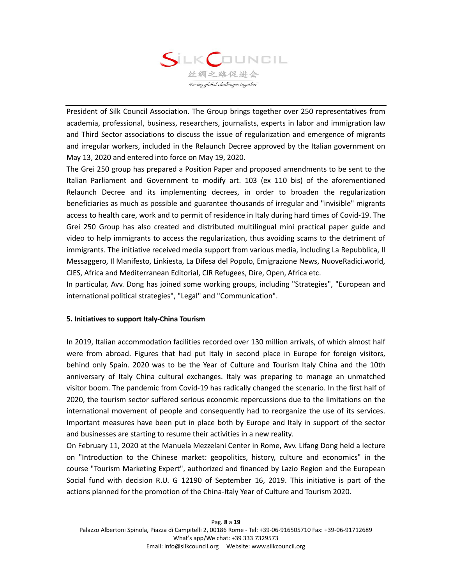

President of Silk Council Association. The Group brings together over 250 representatives from academia, professional, business, researchers, journalists, experts in labor and immigration law and Third Sector associations to discuss the issue of regularization and emergence of migrants and irregular workers, included in the Relaunch Decree approved by the Italian government on May 13, 2020 and entered into force on May 19, 2020.

The Grei 250 group has prepared a Position Paper and proposed amendments to be sent to the Italian Parliament and Government to modify art. 103 (ex 110 bis) of the aforementioned Relaunch Decree and its implementing decrees, in order to broaden the regularization beneficiaries as much as possible and guarantee thousands of irregular and "invisible" migrants access to health care, work and to permit of residence in Italy during hard times of Covid-19. The Grei 250 Group has also created and distributed multilingual mini practical paper guide and video to help immigrants to access the regularization, thus avoiding scams to the detriment of immigrants. The initiative received media support from various media, including La Repubblica, Il Messaggero, Il Manifesto, Linkiesta, La Difesa del Popolo, Emigrazione News, NuoveRadici.world, CIES, Africa and Mediterranean Editorial, CIR Refugees, Dire, Open, Africa etc.

In particular, Avv. Dong has joined some working groups, including "Strategies", "European and international political strategies", "Legal" and "Communication".

## **5. Initiatives to support Italy-China Tourism**

In 2019, Italian accommodation facilities recorded over 130 million arrivals, of which almost half were from abroad. Figures that had put Italy in second place in Europe for foreign visitors, behind only Spain. 2020 was to be the Year of Culture and Tourism Italy China and the 10th anniversary of Italy China cultural exchanges. Italy was preparing to manage an unmatched visitor boom. The pandemic from Covid-19 has radically changed the scenario. In the first half of 2020, the tourism sector suffered serious economic repercussions due to the limitations on the international movement of people and consequently had to reorganize the use of its services. Important measures have been put in place both by Europe and Italy in support of the sector and businesses are starting to resume their activities in a new reality.

On February 11, 2020 at the Manuela Mezzelani Center in Rome, Avv. Lifang Dong held a lecture on "Introduction to the Chinese market: geopolitics, history, culture and economics" in the course "Tourism Marketing Expert", authorized and financed by Lazio Region and the European Social fund with decision R.U. G 12190 of September 16, 2019. This initiative is part of the actions planned for the promotion of the China-Italy Year of Culture and Tourism 2020.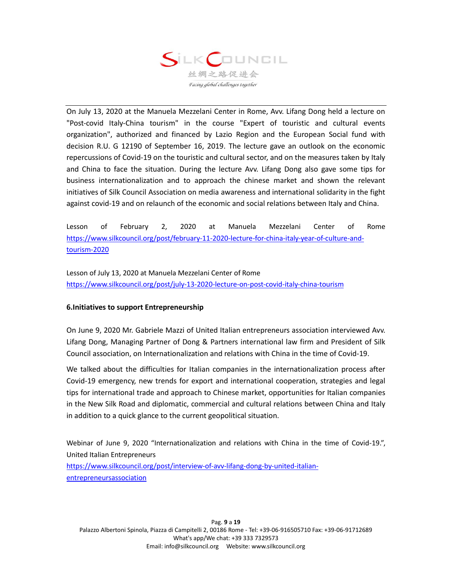

On July 13, 2020 at the Manuela Mezzelani Center in Rome, Avv. Lifang Dong held a lecture on "Post-covid Italy-China tourism" in the course "Expert of touristic and cultural events organization", authorized and financed by Lazio Region and the European Social fund with decision R.U. G 12190 of September 16, 2019. The lecture gave an outlook on the economic repercussions of Covid-19 on the touristic and cultural sector, and on the measures taken by Italy and China to face the situation. During the lecture Avv. Lifang Dong also gave some tips for business internationalization and to approach the chinese market and shown the relevant initiatives of Silk Council Association on media awareness and international solidarity in the fight against covid-19 and on relaunch of the economic and social relations between Italy and China.

Lesson of February 2, 2020 at Manuela Mezzelani Center of Rome [https://www.silkcouncil.org/post/february-11-2020-lecture-for-china-italy-year-of-culture-and](https://www.silkcouncil.org/post/february-11-2020-lecture-for-china-italy-year-of-culture-and-tourism-2020)[tourism-2020](https://www.silkcouncil.org/post/february-11-2020-lecture-for-china-italy-year-of-culture-and-tourism-2020)

Lesson of July 13, 2020 at Manuela Mezzelani Center of Rome <https://www.silkcouncil.org/post/july-13-2020-lecture-on-post-covid-italy-china-tourism>

## **6.Initiatives to support Entrepreneurship**

On June 9, 2020 Mr. Gabriele Mazzi of United Italian entrepreneurs association interviewed Avv. Lifang Dong, Managing Partner of Dong & Partners international law firm and President of Silk Council association, on Internationalization and relations with China in the time of Covid-19.

We talked about the difficulties for Italian companies in the internationalization process after Covid-19 emergency, new trends for export and international cooperation, strategies and legal tips for international trade and approach to Chinese market, opportunities for Italian companies in the New Silk Road and diplomatic, commercial and cultural relations between China and Italy in addition to a quick glance to the current geopolitical situation.

Webinar of June 9, 2020 "Internationalization and relations with China in the time of Covid-19.", United Italian Entrepreneurs

[https://www.silkcouncil.org/post/interview-of-avv-lifang-dong-by-united-italian](https://www.silkcouncil.org/post/interview-of-avv-lifang-dong-by-united-italian-entrepreneursassociation)[entrepreneursassociation](https://www.silkcouncil.org/post/interview-of-avv-lifang-dong-by-united-italian-entrepreneursassociation)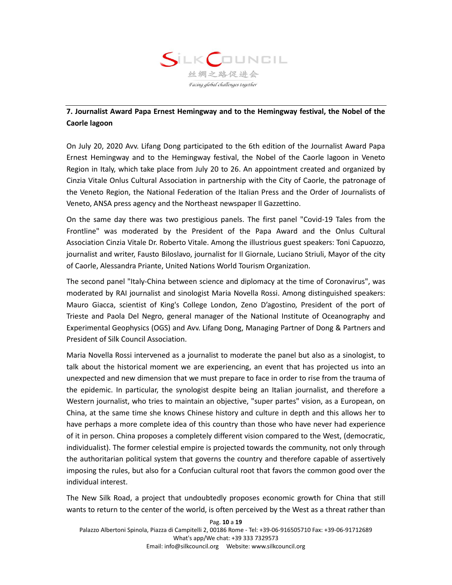

# **7. Journalist Award Papa Ernest Hemingway and to the Hemingway festival, the Nobel of the Caorle lagoon**

On July 20, 2020 Avv. Lifang Dong participated to the 6th edition of the Journalist Award Papa Ernest Hemingway and to the Hemingway festival, the Nobel of the Caorle lagoon in Veneto Region in Italy, which take place from July 20 to 26. An appointment created and organized by Cinzia Vitale Onlus Cultural Association in partnership with the City of Caorle, the patronage of the Veneto Region, the National Federation of the Italian Press and the Order of Journalists of Veneto, ANSA press agency and the Northeast newspaper Il Gazzettino.

On the same day there was two prestigious panels. The first panel "Covid-19 Tales from the Frontline" was moderated by the President of the Papa Award and the Onlus Cultural Association Cinzia Vitale Dr. Roberto Vitale. Among the illustrious guest speakers: Toni Capuozzo, journalist and writer, Fausto Biloslavo, journalist for Il Giornale, Luciano Striuli, Mayor of the city of Caorle, Alessandra Priante, United Nations World Tourism Organization.

The second panel "Italy-China between science and diplomacy at the time of Coronavirus", was moderated by RAI journalist and sinologist Maria Novella Rossi. Among distinguished speakers: Mauro Giacca, scientist of King's College London, Zeno D'agostino, President of the port of Trieste and Paola Del Negro, general manager of the National Institute of Oceanography and Experimental Geophysics (OGS) and Avv. Lifang Dong, Managing Partner of Dong & Partners and President of Silk Council Association.

Maria Novella Rossi intervened as a journalist to moderate the panel but also as a sinologist, to talk about the historical moment we are experiencing, an event that has projected us into an unexpected and new dimension that we must prepare to face in order to rise from the trauma of the epidemic. In particular, the synologist despite being an Italian journalist, and therefore a Western journalist, who tries to maintain an objective, "super partes" vision, as a European, on China, at the same time she knows Chinese history and culture in depth and this allows her to have perhaps a more complete idea of this country than those who have never had experience of it in person. China proposes a completely different vision compared to the West, (democratic, individualist). The former celestial empire is projected towards the community, not only through the authoritarian political system that governs the country and therefore capable of assertively imposing the rules, but also for a Confucian cultural root that favors the common good over the individual interest.

The New Silk Road, a project that undoubtedly proposes economic growth for China that still wants to return to the center of the world, is often perceived by the West as a threat rather than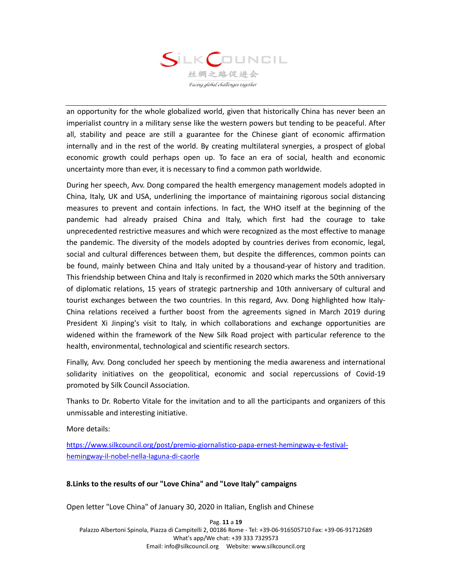

an opportunity for the whole globalized world, given that historically China has never been an imperialist country in a military sense like the western powers but tending to be peaceful. After all, stability and peace are still a guarantee for the Chinese giant of economic affirmation internally and in the rest of the world. By creating multilateral synergies, a prospect of global economic growth could perhaps open up. To face an era of social, health and economic uncertainty more than ever, it is necessary to find a common path worldwide.

During her speech, Avv. Dong compared the health emergency management models adopted in China, Italy, UK and USA, underlining the importance of maintaining rigorous social distancing measures to prevent and contain infections. In fact, the WHO itself at the beginning of the pandemic had already praised China and Italy, which first had the courage to take unprecedented restrictive measures and which were recognized as the most effective to manage the pandemic. The diversity of the models adopted by countries derives from economic, legal, social and cultural differences between them, but despite the differences, common points can be found, mainly between China and Italy united by a thousand-year of history and tradition. This friendship between China and Italy is reconfirmed in 2020 which marks the 50th anniversary of diplomatic relations, 15 years of strategic partnership and 10th anniversary of cultural and tourist exchanges between the two countries. In this regard, Avv. Dong highlighted how Italy-China relations received a further boost from the agreements signed in March 2019 during President Xi Jinping's visit to Italy, in which collaborations and exchange opportunities are widened within the framework of the New Silk Road project with particular reference to the health, environmental, technological and scientific research sectors.

Finally, Avv. Dong concluded her speech by mentioning the media awareness and international solidarity initiatives on the geopolitical, economic and social repercussions of Covid-19 promoted by Silk Council Association.

Thanks to Dr. Roberto Vitale for the invitation and to all the participants and organizers of this unmissable and interesting initiative.

More details:

[https://www.silkcouncil.org/post/premio-giornalistico-papa-ernest-hemingway-e-festival](https://www.silkcouncil.org/post/premio-giornalistico-papa-ernest-hemingway-e-festival-hemingway-il-nobel-nella-laguna-di-caorle)[hemingway-il-nobel-nella-laguna-di-caorle](https://www.silkcouncil.org/post/premio-giornalistico-papa-ernest-hemingway-e-festival-hemingway-il-nobel-nella-laguna-di-caorle)

## **8.Links to the results of our "Love China" and "Love Italy" campaigns**

Open letter "Love China" of January 30, 2020 in Italian, English and Chinese

Pag. **11** a **19** Palazzo Albertoni Spinola, Piazza di Campitelli 2, 00186 Rome - Tel: +39-06-916505710 Fax: +39-06-91712689 What's app/We chat: +39 333 7329573 Email: info@silkcouncil.org Website: www.silkcouncil.org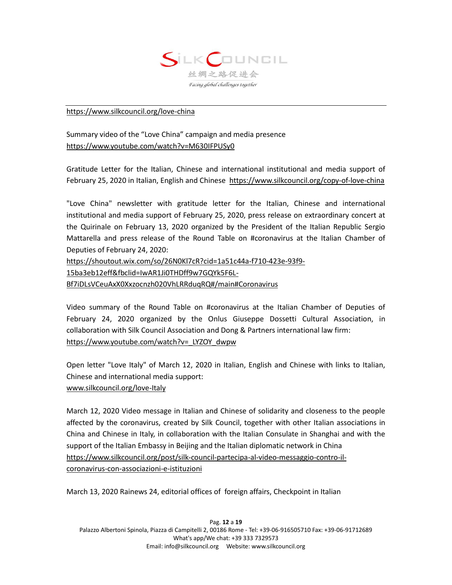

## <https://www.silkcouncil.org/love-china>

Summary video of the "Love China" campaign and media presence <https://www.youtube.com/watch?v=M630IFPUSy0>

Gratitude Letter for the Italian, Chinese and international institutional and media support of February 25, 2020 in Italian, English and Chinese<https://www.silkcouncil.org/copy-of-love-china>

"Love China" newsletter with gratitude letter for the Italian, Chinese and international institutional and media support of February 25, 2020, press release on extraordinary concert at the Quirinale on February 13, 2020 organized by the President of the Italian Republic Sergio Mattarella and press release of the Round Table on #coronavirus at the Italian Chamber of Deputies of February 24, 2020:

https://shoutout.wix.com/so/26N0Kl7cR?cid=1a51c44a-f710-423e-93f9-

15ba3eb12eff&fbclid=IwAR1Ji0THDff9w7GQYk5F6L-

Bf7iDLsVCeuAxX0Xxzocnzh020VhLRRduqRQ#/main#Coronavirus

Video summary of the Round Table on #coronavirus at the Italian Chamber of Deputies of February 24, 2020 organized by the Onlus Giuseppe Dossetti Cultural Association, in collaboration with Silk Council Association and Dong & Partners international law firm: [https://www.youtube.com/watch?v=\\_LYZOY\\_dwpw](https://www.youtube.com/watch?v=_LYZOY_dwpw)

Open letter "Love Italy" of March 12, 2020 in Italian, English and Chinese with links to Italian, Chinese and international media support: [www.silkcouncil.org/love-Italy](http://www.silkcouncil.org/love-Italy)

March 12, 2020 Video message in Italian and Chinese of solidarity and closeness to the people affected by the coronavirus, created by Silk Council, together with other Italian associations in China and Chinese in Italy, in collaboration with the Italian Consulate in Shanghai and with the support of the Italian Embassy in Beijing and the Italian diplomatic network in China [https://www.silkcouncil.org/post/silk-council-partecipa-al-video-messaggio-contro-il](https://www.silkcouncil.org/post/silk-council-partecipa-al-video-messaggio-contro-il-coronavirus-con-associazioni-e-istituzioni)[coronavirus-con-associazioni-e-istituzioni](https://www.silkcouncil.org/post/silk-council-partecipa-al-video-messaggio-contro-il-coronavirus-con-associazioni-e-istituzioni)

March 13, 2020 Rainews 24, editorial offices of foreign affairs, Checkpoint in Italian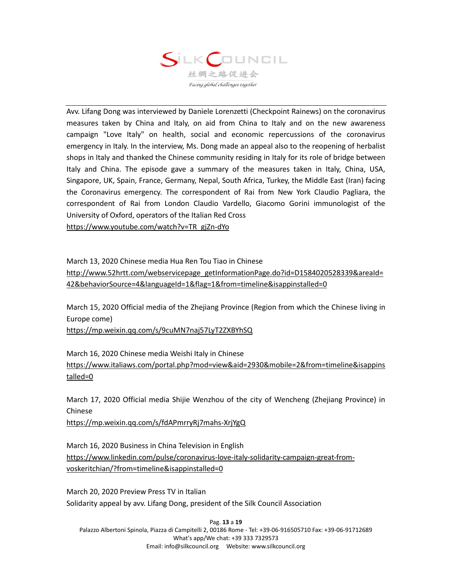

Avv. Lifang Dong was interviewed by Daniele Lorenzetti (Checkpoint Rainews) on the coronavirus measures taken by China and Italy, on aid from China to Italy and on the new awareness campaign "Love Italy" on health, social and economic repercussions of the coronavirus emergency in Italy. In the interview, Ms. Dong made an appeal also to the reopening of herbalist shops in Italy and thanked the Chinese community residing in Italy for its role of bridge between Italy and China. The episode gave a summary of the measures taken in Italy, China, USA, Singapore, UK, Spain, France, Germany, Nepal, South Africa, Turkey, the Middle East (Iran) facing the Coronavirus emergency. The correspondent of Rai from New York Claudio Pagliara, the correspondent of Rai from London Claudio Vardello, Giacomo Gorini immunologist of the University of Oxford, operators of the Italian Red Cross

[https://www.youtube.com/watch?v=TR\\_gjZn-dYo](https://www.youtube.com/watch?v=TR_gjZn-dYo)

March 13, 2020 Chinese media Hua Ren Tou Tiao in Chinese

[http://www.52hrtt.com/webservicepage\\_getInformationPage.do?id=D1584020528339&areaId=](http://www.52hrtt.com/webservicepage_getInformationPage.do?id=D1584020528339&areaId=42&behaviorSource=4&languageId=1&flag=1&from=timeline&isappinstalled=0) [42&behaviorSource=4&languageId=1&flag=1&from=timeline&isappinstalled=0](http://www.52hrtt.com/webservicepage_getInformationPage.do?id=D1584020528339&areaId=42&behaviorSource=4&languageId=1&flag=1&from=timeline&isappinstalled=0)

March 15, 2020 Official media of the Zhejiang Province (Region from which the Chinese living in Europe come)

<https://mp.weixin.qq.com/s/9cuMN7naj57LyT2ZXBYhSQ>

March 16, 2020 Chinese media Weishi Italy in Chinese [https://www.italiaws.com/portal.php?mod=view&aid=2930&mobile=2&from=timeline&isappins](https://www.italiaws.com/portal.php?mod=view&aid=2930&mobile=2&from=timeline&isappinstalled=0) [talled=0](https://www.italiaws.com/portal.php?mod=view&aid=2930&mobile=2&from=timeline&isappinstalled=0)

March 17, 2020 Official media Shijie Wenzhou of the city of Wencheng (Zhejiang Province) in Chinese

<https://mp.weixin.qq.com/s/fdAPmrryRj7mahs-XrjYgQ>

March 16, 2020 Business in China Television in English [https://www.linkedin.com/pulse/coronavirus-love-italy-solidarity-campaign-great-from](https://www.linkedin.com/pulse/coronavirus-love-italy-solidarity-campaign-great-from-voskeritchian/?from=timeline&isappinstalled=0)[voskeritchian/?from=timeline&isappinstalled=0](https://www.linkedin.com/pulse/coronavirus-love-italy-solidarity-campaign-great-from-voskeritchian/?from=timeline&isappinstalled=0)

March 20, 2020 Preview Press TV in Italian Solidarity appeal by avv. Lifang Dong, president of the Silk Council Association

Pag. **13** a **19** Palazzo Albertoni Spinola, Piazza di Campitelli 2, 00186 Rome - Tel: +39-06-916505710 Fax: +39-06-91712689 What's app/We chat: +39 333 7329573 Email: info@silkcouncil.org Website: www.silkcouncil.org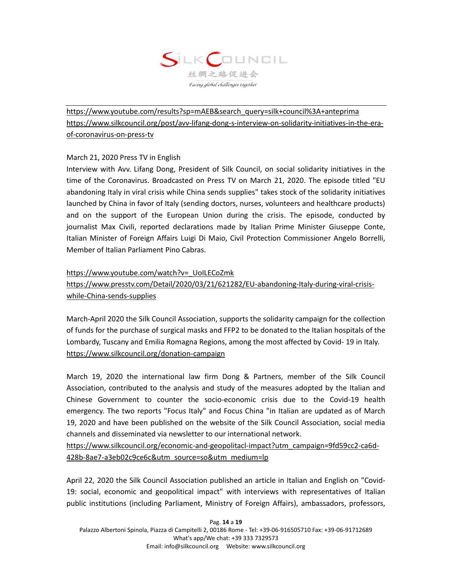

[https://www.youtube.com/results?sp=mAEB&search\\_query=silk+council%3A+anteprima](https://www.youtube.com/results?sp=mAEB&search_query=silk+council%3A+anteprima) [https://www.silkcouncil.org/post/avv-lifang-dong-s-interview-on-solidarity-initiatives-in-the-era](https://www.silkcouncil.org/post/avv-lifang-dong-s-interview-on-solidarity-initiatives-in-the-era-of-coronavirus-on-press-tv)[of-coronavirus-on-press-tv](https://www.silkcouncil.org/post/avv-lifang-dong-s-interview-on-solidarity-initiatives-in-the-era-of-coronavirus-on-press-tv)

## March 21, 2020 Press TV in English

Interview with Avv. Lifang Dong, President of Silk Council, on social solidarity initiatives in the time of the Coronavirus. Broadcasted on Press TV on March 21, 2020. The episode titled "EU abandoning Italy in viral crisis while China sends supplies" takes stock of the solidarity initiatives launched by China in favor of Italy (sending doctors, nurses, volunteers and healthcare products) and on the support of the European Union during the crisis. The episode, conducted by journalist Max Civili, reported declarations made by Italian Prime Minister Giuseppe Conte, Italian Minister of Foreign Affairs Luigi Di Maio, Civil Protection Commissioner Angelo Borrelli, Member of Italian Parliament Pino Cabras.

## [https://www.youtube.com/watch?v=\\_UoILECoZmk](https://www.youtube.com/watch?v=_UoILECoZmk)

# [https://www.presstv.com/Detail/2020/03/21/621282/EU-abandoning-Italy-during-viral-crisis](https://www.presstv.com/Detail/2020/03/21/621282/EU-abandoning-Italy-during-viral-crisis-while-China-sends-supplies)[while-China-sends-supplies](https://www.presstv.com/Detail/2020/03/21/621282/EU-abandoning-Italy-during-viral-crisis-while-China-sends-supplies)

March-April 2020 the Silk Council Association, supports the solidarity campaign for the collection of funds for the purchase of surgical masks and FFP2 to be donated to the Italian hospitals of the Lombardy, Tuscany and Emilia Romagna Regions, among the most affected by Covid- 19 in Italy. <https://www.silkcouncil.org/donation-campaign>

March 19, 2020 the international law firm Dong & Partners, member of the Silk Council Association, contributed to the analysis and study of the measures adopted by the Italian and Chinese Government to counter the socio-economic crisis due to the Covid-19 health emergency. The two reports "Focus Italy" and Focus China "in Italian are updated as of March 19, 2020 and have been published on the website of the Silk Council Association, social media channels and disseminated via newsletter to our international network.

[https://www.silkcouncil.org/economic-and-geopolitacl-impact?utm\\_campaign=9fd59cc2-ca6d-](https://www.silkcouncil.org/economic-and-geopolitacl-impact?utm_campaign=9fd59cc2-ca6d-428b-8ae7-a3eb02c9ce6c&utm_source=so&utm_medium=lp)[428b-8ae7-a3eb02c9ce6c&utm\\_source=so&utm\\_medium=lp](https://www.silkcouncil.org/economic-and-geopolitacl-impact?utm_campaign=9fd59cc2-ca6d-428b-8ae7-a3eb02c9ce6c&utm_source=so&utm_medium=lp)

April 22, 2020 the Silk Council Association published an article in Italian and English on "Covid-19: social, economic and geopolitical impact" with interviews with representatives of Italian public institutions (including Parliament, Ministry of Foreign Affairs), ambassadors, professors,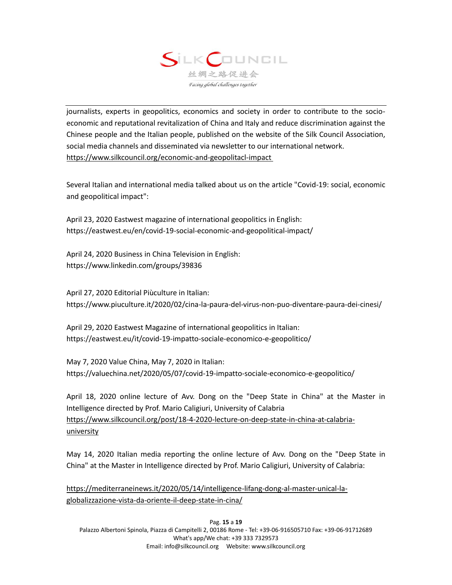

journalists, experts in geopolitics, economics and society in order to contribute to the socioeconomic and reputational revitalization of China and Italy and reduce discrimination against the Chinese people and the Italian people, published on the website of the Silk Council Association, social media channels and disseminated via newsletter to our international network. <https://www.silkcouncil.org/economic-and-geopolitacl-impact>

Several Italian and international media talked about us on the article "Covid-19: social, economic and geopolitical impact":

April 23, 2020 Eastwest magazine of international geopolitics in English: https://eastwest.eu/en/covid-19-social-economic-and-geopolitical-impact/

April 24, 2020 Business in China Television in English: https://www.linkedin.com/groups/39836

April 27, 2020 Editorial Piùculture in Italian: https://www.piuculture.it/2020/02/cina-la-paura-del-virus-non-puo-diventare-paura-dei-cinesi/

April 29, 2020 Eastwest Magazine of international geopolitics in Italian: https://eastwest.eu/it/covid-19-impatto-sociale-economico-e-geopolitico/

May 7, 2020 Value China, May 7, 2020 in Italian: https://valuechina.net/2020/05/07/covid-19-impatto-sociale-economico-e-geopolitico/

April 18, 2020 online lecture of Avv. Dong on the "Deep State in China" at the Master in Intelligence directed by Prof. Mario Caligiuri, University of Calabria [https://www.silkcouncil.org/post/18-4-2020-lecture-on-deep-state-in-china-at-calabria](https://www.silkcouncil.org/post/18-4-2020-lecture-on-deep-state-in-china-at-calabria-university)[university](https://www.silkcouncil.org/post/18-4-2020-lecture-on-deep-state-in-china-at-calabria-university)

May 14, 2020 Italian media reporting the online lecture of Avv. Dong on the "Deep State in China" at the Master in Intelligence directed by Prof. Mario Caligiuri, University of Calabria:

[https://mediterraneinews.it/2020/05/14/intelligence-lifang-dong-al-master-unical-la](https://mediterraneinews.it/2020/05/14/intelligence-lifang-dong-al-master-unical-la-globalizzazione-vista-da-oriente-il-deep-state-in-cina/)[globalizzazione-vista-da-oriente-il-deep-state-in-cina/](https://mediterraneinews.it/2020/05/14/intelligence-lifang-dong-al-master-unical-la-globalizzazione-vista-da-oriente-il-deep-state-in-cina/)

Pag. **15** a **19** Palazzo Albertoni Spinola, Piazza di Campitelli 2, 00186 Rome - Tel: +39-06-916505710 Fax: +39-06-91712689 What's app/We chat: +39 333 7329573 Email: info@silkcouncil.org Website: www.silkcouncil.org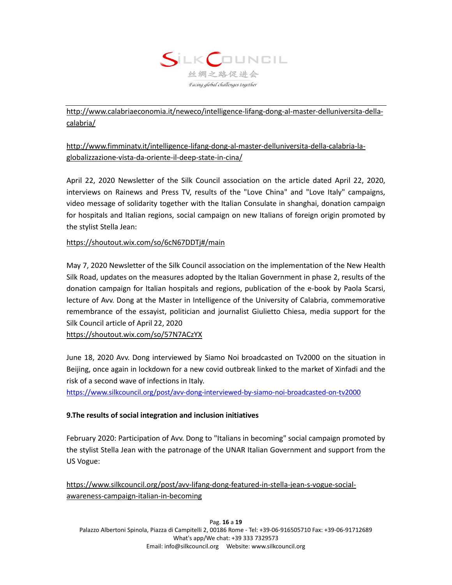

[http://www.calabriaeconomia.it/neweco/intelligence-lifang-dong-al-master-delluniversita-della](http://www.calabriaeconomia.it/neweco/intelligence-lifang-dong-al-master-delluniversita-della-calabria/)[calabria/](http://www.calabriaeconomia.it/neweco/intelligence-lifang-dong-al-master-delluniversita-della-calabria/)

[http://www.fimminatv.it/intelligence-lifang-dong-al-master-delluniversita-della-calabria-la](http://www.fimminatv.it/intelligence-lifang-dong-al-master-delluniversita-della-calabria-la-globalizzazione-vista-da-oriente-il-deep-state-in-cina/)[globalizzazione-vista-da-oriente-il-deep-state-in-cina/](http://www.fimminatv.it/intelligence-lifang-dong-al-master-delluniversita-della-calabria-la-globalizzazione-vista-da-oriente-il-deep-state-in-cina/)

April 22, 2020 Newsletter of the Silk Council association on the article dated April 22, 2020, interviews on Rainews and Press TV, results of the "Love China" and "Love Italy" campaigns, video message of solidarity together with the Italian Consulate in shanghai, donation campaign for hospitals and Italian regions, social campaign on new Italians of foreign origin promoted by the stylist Stella Jean:

<https://shoutout.wix.com/so/6cN67DDTj#/main>

May 7, 2020 Newsletter of the Silk Council association on the implementation of the New Health Silk Road, updates on the measures adopted by the Italian Government in phase 2, results of the donation campaign for Italian hospitals and regions, publication of the e-book by Paola Scarsi, lecture of Avv. Dong at the Master in Intelligence of the University of Calabria, commemorative remembrance of the essayist, politician and journalist Giulietto Chiesa, media support for the Silk Council article of April 22, 2020

<https://shoutout.wix.com/so/57N7ACzYX>

June 18, 2020 Avv. Dong interviewed by Siamo Noi broadcasted on Tv2000 on the situation in Beijing, once again in lockdown for a new covid outbreak linked to the market of Xinfadi and the risk of a second wave of infections in Italy.

<https://www.silkcouncil.org/post/avv-dong-interviewed-by-siamo-noi-broadcasted-on-tv2000>

## **9.The results of social integration and inclusion initiatives**

February 2020: Participation of Avv. Dong to "Italians in becoming" social campaign promoted by the stylist Stella Jean with the patronage of the UNAR Italian Government and support from the US Vogue:

[https://www.silkcouncil.org/post/avv-lifang-dong-featured-in-stella-jean-s-vogue-social](https://www.silkcouncil.org/post/avv-lifang-dong-featured-in-stella-jean-s-vogue-social-awareness-campaign-italian-in-becoming)[awareness-campaign-italian-in-becoming](https://www.silkcouncil.org/post/avv-lifang-dong-featured-in-stella-jean-s-vogue-social-awareness-campaign-italian-in-becoming)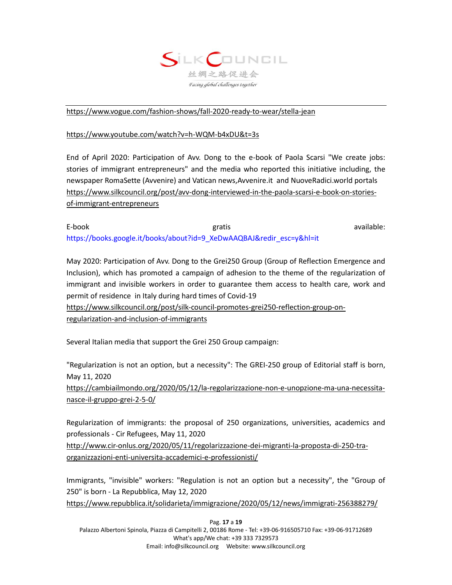

#### <https://www.vogue.com/fashion-shows/fall-2020-ready-to-wear/stella-jean>

#### <https://www.youtube.com/watch?v=h-WQM-b4xDU&t=3s>

End of April 2020: Participation of Avv. Dong to the e-book of Paola Scarsi "We create jobs: stories of immigrant entrepreneurs" and the media who reported this initiative including, the newspaper RomaSette (Avvenire) and Vatican news,Avvenire.it and NuoveRadici.world portals [https://www.silkcouncil.org/post/avv-dong-interviewed-in-the-paola-scarsi-e-book-on-stories](https://www.silkcouncil.org/post/avv-dong-interviewed-in-the-paola-scarsi-e-book-on-stories-of-immigrant-entrepreneurs)[of-immigrant-entrepreneurs](https://www.silkcouncil.org/post/avv-dong-interviewed-in-the-paola-scarsi-e-book-on-stories-of-immigrant-entrepreneurs)

E-book gratis available: [https://books.google.it/books/about?id=9\\_XeDwAAQBAJ&redir\\_esc=y&hl=it](https://books.google.it/books/about?id=9_XeDwAAQBAJ&redir_esc=y&hl=it)

May 2020: Participation of Avv. Dong to the Grei250 Group (Group of Reflection Emergence and Inclusion), which has promoted a campaign of adhesion to the theme of the regularization of immigrant and invisible workers in order to guarantee them access to health care, work and permit of residence in Italy during hard times of Covid-19

[https://www.silkcouncil.org/post/silk-council-promotes-grei250-reflection-group-on](https://www.silkcouncil.org/post/silk-council-promotes-grei250-reflection-group-on-regularization-and-inclusion-of-immigrants)[regularization-and-inclusion-of-immigrants](https://www.silkcouncil.org/post/silk-council-promotes-grei250-reflection-group-on-regularization-and-inclusion-of-immigrants)

Several Italian media that support the Grei 250 Group campaign:

"Regularization is not an option, but a necessity": The GREI-250 group of Editorial staff is born, May 11, 2020 [https://cambiailmondo.org/2020/05/12/la-regolarizzazione-non-e-unopzione-ma-una-necessita-](https://cambiailmondo.org/2020/05/12/la-regolarizzazione-non-e-unopzione-ma-una-necessita-nasce-il-gruppo-grei-2-5-0/)

[nasce-il-gruppo-grei-2-5-0/](https://cambiailmondo.org/2020/05/12/la-regolarizzazione-non-e-unopzione-ma-una-necessita-nasce-il-gruppo-grei-2-5-0/)

Regularization of immigrants: the proposal of 250 organizations, universities, academics and professionals - Cir Refugees, May 11, 2020

[http://www.cir-onlus.org/2020/05/11/regolarizzazione-dei-migranti-la-proposta-di-250-tra](http://www.cir-onlus.org/2020/05/11/regolarizzazione-dei-migranti-la-proposta-di-250-tra-organizzazioni-enti-universita-accademici-e-professionisti/)[organizzazioni-enti-universita-accademici-e-professionisti/](http://www.cir-onlus.org/2020/05/11/regolarizzazione-dei-migranti-la-proposta-di-250-tra-organizzazioni-enti-universita-accademici-e-professionisti/)

Immigrants, "invisible" workers: "Regulation is not an option but a necessity", the "Group of 250" is born - La Repubblica, May 12, 2020

<https://www.repubblica.it/solidarieta/immigrazione/2020/05/12/news/immigrati-256388279/>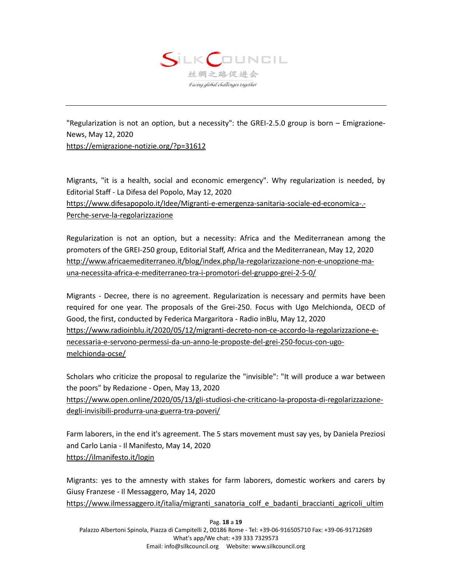

"Regularization is not an option, but a necessity": the GREI-2.5.0 group is born – Emigrazione-News, May 12, 2020 <https://emigrazione-notizie.org/?p=31612>

Migrants, "it is a health, social and economic emergency". Why regularization is needed, by Editorial Staff - La Difesa del Popolo, May 12, 2020 [https://www.difesapopolo.it/Idee/Migranti-e-emergenza-sanitaria-sociale-ed-economica-.-](https://www.difesapopolo.it/Idee/Migranti-e-emergenza-sanitaria-sociale-ed-economica-.-Perche-serve-la-regolarizzazione) [Perche-serve-la-regolarizzazione](https://www.difesapopolo.it/Idee/Migranti-e-emergenza-sanitaria-sociale-ed-economica-.-Perche-serve-la-regolarizzazione)

Regularization is not an option, but a necessity: Africa and the Mediterranean among the promoters of the GREI-250 group, Editorial Staff, Africa and the Mediterranean, May 12, 2020 [http://www.africaemediterraneo.it/blog/index.php/la-regolarizzazione-non-e-unopzione-ma](http://www.africaemediterraneo.it/blog/index.php/la-regolarizzazione-non-e-unopzione-ma-una-necessita-africa-e-mediterraneo-tra-i-promotori-del-gruppo-grei-2-5-0/)[una-necessita-africa-e-mediterraneo-tra-i-promotori-del-gruppo-grei-2-5-0/](http://www.africaemediterraneo.it/blog/index.php/la-regolarizzazione-non-e-unopzione-ma-una-necessita-africa-e-mediterraneo-tra-i-promotori-del-gruppo-grei-2-5-0/)

Migrants - Decree, there is no agreement. Regularization is necessary and permits have been required for one year. The proposals of the Grei-250. Focus with Ugo Melchionda, OECD of Good, the first, conducted by Federica Margaritora - Radio inBlu, May 12, 2020 [https://www.radioinblu.it/2020/05/12/migranti-decreto-non-ce-accordo-la-regolarizzazione-e](https://www.radioinblu.it/2020/05/12/migranti-decreto-non-ce-accordo-la-regolarizzazione-e-necessaria-e-servono-permessi-da-un-anno-le-proposte-del-grei-250-focus-con-ugo-melchionda-ocse/)[necessaria-e-servono-permessi-da-un-anno-le-proposte-del-grei-250-focus-con-ugo](https://www.radioinblu.it/2020/05/12/migranti-decreto-non-ce-accordo-la-regolarizzazione-e-necessaria-e-servono-permessi-da-un-anno-le-proposte-del-grei-250-focus-con-ugo-melchionda-ocse/)[melchionda-ocse/](https://www.radioinblu.it/2020/05/12/migranti-decreto-non-ce-accordo-la-regolarizzazione-e-necessaria-e-servono-permessi-da-un-anno-le-proposte-del-grei-250-focus-con-ugo-melchionda-ocse/)

Scholars who criticize the proposal to regularize the "invisible": "It will produce a war between the poors" by Redazione - Open, May 13, 2020 [https://www.open.online/2020/05/13/gli-studiosi-che-criticano-la-proposta-di-regolarizzazione](https://www.open.online/2020/05/13/gli-studiosi-che-criticano-la-proposta-di-regolarizzazione-degli-invisibili-produrra-una-guerra-tra-poveri/)[degli-invisibili-produrra-una-guerra-tra-poveri/](https://www.open.online/2020/05/13/gli-studiosi-che-criticano-la-proposta-di-regolarizzazione-degli-invisibili-produrra-una-guerra-tra-poveri/)

Farm laborers, in the end it's agreement. The 5 stars movement must say yes, by Daniela Preziosi and Carlo Lania - Il Manifesto, May 14, 2020 <https://ilmanifesto.it/login>

Migrants: yes to the amnesty with stakes for farm laborers, domestic workers and carers by Giusy Franzese - Il Messaggero, May 14, 2020 [https://www.ilmessaggero.it/italia/migranti\\_sanatoria\\_colf\\_e\\_badanti\\_braccianti\\_agricoli\\_ultim](https://www.ilmessaggero.it/italia/migranti_sanatoria_colf_e_badanti_braccianti_agricoli_ultime_notizie_14_maggio_2020-5226416.html)